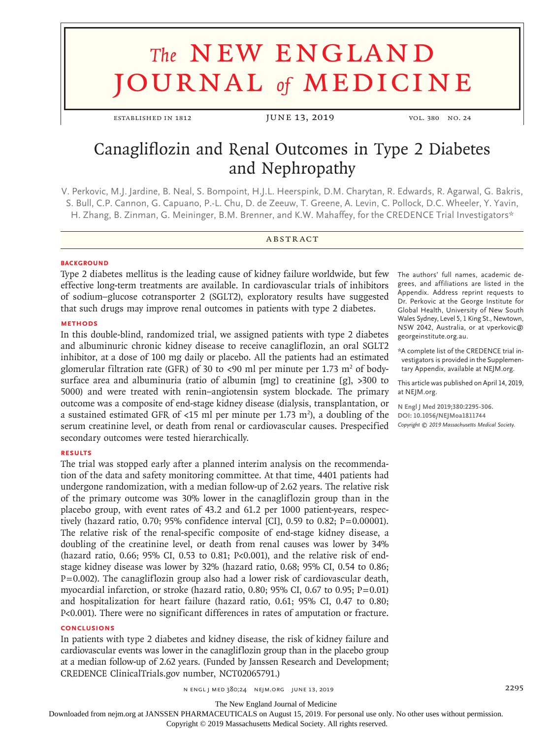# **The NEW ENGLAND** journal *of* medicine

ESTABLISHED IN 1812 **JUNE 13, 2019** vol. 380 No. 24

# Canagliflozin and Renal Outcomes in Type 2 Diabetes and Nephropathy

V. Perkovic, M.J. Jardine, B. Neal, S. Bompoint, H.J.L. Heerspink, D.M. Charytan, R. Edwards, R. Agarwal, G. Bakris, S. Bull, C.P. Cannon, G. Capuano, P.-L. Chu, D. de Zeeuw, T. Greene, A. Levin, C. Pollock, D.C. Wheeler, Y. Yavin, H. Zhang, B. Zinman, G. Meininger, B.M. Brenner, and K.W. Mahaffey, for the CREDENCE Trial Investigators\*

# **ABSTRACT**

# **BACKGROUND**

Type 2 diabetes mellitus is the leading cause of kidney failure worldwide, but few effective long-term treatments are available. In cardiovascular trials of inhibitors of sodium–glucose cotransporter 2 (SGLT2), exploratory results have suggested that such drugs may improve renal outcomes in patients with type 2 diabetes.

# **METHODS**

In this double-blind, randomized trial, we assigned patients with type 2 diabetes and albuminuric chronic kidney disease to receive canagliflozin, an oral SGLT2 inhibitor, at a dose of 100 mg daily or placebo. All the patients had an estimated glomerular filtration rate (GFR) of 30 to <90 ml per minute per 1.73 m<sup>2</sup> of bodysurface area and albuminuria (ratio of albumin [mg] to creatinine [g], >300 to 5000) and were treated with renin–angiotensin system blockade. The primary outcome was a composite of end-stage kidney disease (dialysis, transplantation, or a sustained estimated GFR of <15 ml per minute per 1.73 m<sup>2</sup>), a doubling of the serum creatinine level, or death from renal or cardiovascular causes. Prespecified secondary outcomes were tested hierarchically.

# **RESULTS**

The trial was stopped early after a planned interim analysis on the recommendation of the data and safety monitoring committee. At that time, 4401 patients had undergone randomization, with a median follow-up of 2.62 years. The relative risk of the primary outcome was 30% lower in the canagliflozin group than in the placebo group, with event rates of 43.2 and 61.2 per 1000 patient-years, respectively (hazard ratio, 0.70; 95% confidence interval [CI], 0.59 to 0.82; P=0.00001). The relative risk of the renal-specific composite of end-stage kidney disease, a doubling of the creatinine level, or death from renal causes was lower by 34% (hazard ratio, 0.66; 95% CI, 0.53 to 0.81; P<0.001), and the relative risk of endstage kidney disease was lower by 32% (hazard ratio, 0.68; 95% CI, 0.54 to 0.86; P=0.002). The canagliflozin group also had a lower risk of cardiovascular death, myocardial infarction, or stroke (hazard ratio, 0.80; 95% CI, 0.67 to 0.95;  $P=0.01$ ) and hospitalization for heart failure (hazard ratio, 0.61; 95% CI, 0.47 to 0.80; P<0.001). There were no significant differences in rates of amputation or fracture.

# **CONCLUSIONS**

In patients with type 2 diabetes and kidney disease, the risk of kidney failure and cardiovascular events was lower in the canagliflozin group than in the placebo group at a median follow-up of 2.62 years. (Funded by Janssen Research and Development; CREDENCE ClinicalTrials.gov number, NCT02065791.)

The authors' full names, academic degrees, and affiliations are listed in the Appendix. Address reprint requests to Dr. Perkovic at the George Institute for Global Health, University of New South Wales Sydney, Level 5, 1 King St., Newtown, NSW 2042, Australia, or at vperkovic@ georgeinstitute.org.au.

\*A complete list of the CREDENCE trial investigators is provided in the Supplementary Appendix, available at NEJM.org.

This article was published on April 14, 2019, at NEJM.org.

**N Engl J Med 2019;380:2295-306. DOI: 10.1056/NEJMoa1811744** *Copyright © 2019 Massachusetts Medical Society.*

The New England Journal of Medicine

Downloaded from nejm.org at JANSSEN PHARMACEUTICALS on August 15, 2019. For personal use only. No other uses without permission.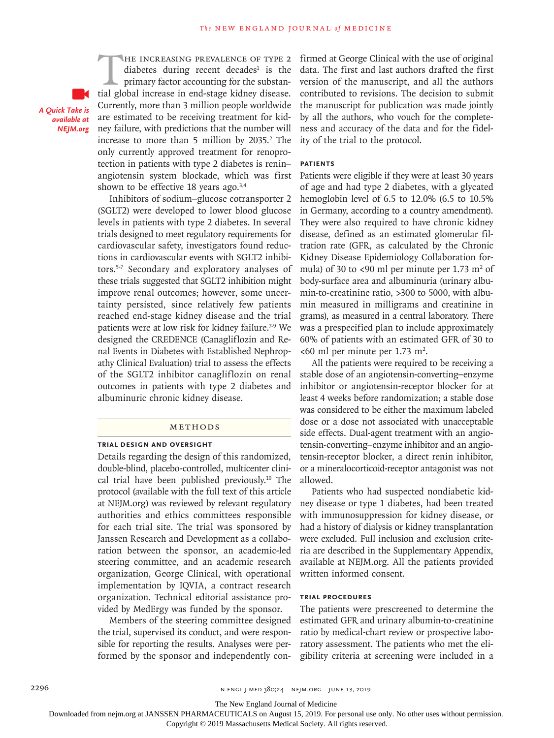*A Quick Take is available at NEJM.org*

THE INCREASING PREVALENCE OF TYPE 2<br>diabetes during recent decades<sup>1</sup> is the<br>primary factor accounting for the substan-<br>tial global increase in end-stage kidney disease. diabetes during recent decades<sup>1</sup> is the primary factor accounting for the substantial global increase in end-stage kidney disease. Currently, more than 3 million people worldwide are estimated to be receiving treatment for kidney failure, with predictions that the number will increase to more than 5 million by 2035.<sup>2</sup> The only currently approved treatment for renoprotection in patients with type 2 diabetes is renin– angiotensin system blockade, which was first shown to be effective 18 years ago. $3,4$ 

Inhibitors of sodium–glucose cotransporter 2 (SGLT2) were developed to lower blood glucose levels in patients with type 2 diabetes. In several trials designed to meet regulatory requirements for cardiovascular safety, investigators found reductions in cardiovascular events with SGLT2 inhibitors.5-7 Secondary and exploratory analyses of these trials suggested that SGLT2 inhibition might improve renal outcomes; however, some uncertainty persisted, since relatively few patients reached end-stage kidney disease and the trial patients were at low risk for kidney failure.<sup>7-9</sup> We designed the CREDENCE (Canagliflozin and Renal Events in Diabetes with Established Nephropathy Clinical Evaluation) trial to assess the effects of the SGLT2 inhibitor canagliflozin on renal outcomes in patients with type 2 diabetes and albuminuric chronic kidney disease.

# Methods

#### **Trial Design and Oversight**

Details regarding the design of this randomized, double-blind, placebo-controlled, multicenter clinical trial have been published previously.10 The protocol (available with the full text of this article at NEJM.org) was reviewed by relevant regulatory authorities and ethics committees responsible for each trial site. The trial was sponsored by Janssen Research and Development as a collaboration between the sponsor, an academic-led steering committee, and an academic research organization, George Clinical, with operational implementation by IQVIA, a contract research organization. Technical editorial assistance provided by MedErgy was funded by the sponsor.

Members of the steering committee designed the trial, supervised its conduct, and were responsible for reporting the results. Analyses were performed by the sponsor and independently confirmed at George Clinical with the use of original data. The first and last authors drafted the first version of the manuscript, and all the authors contributed to revisions. The decision to submit the manuscript for publication was made jointly by all the authors, who vouch for the completeness and accuracy of the data and for the fidelity of the trial to the protocol.

# **Patients**

Patients were eligible if they were at least 30 years of age and had type 2 diabetes, with a glycated hemoglobin level of 6.5 to 12.0% (6.5 to 10.5% in Germany, according to a country amendment). They were also required to have chronic kidney disease, defined as an estimated glomerular filtration rate (GFR, as calculated by the Chronic Kidney Disease Epidemiology Collaboration formula) of 30 to <90 ml per minute per 1.73 m<sup>2</sup> of body-surface area and albuminuria (urinary albumin-to-creatinine ratio, >300 to 5000, with albumin measured in milligrams and creatinine in grams), as measured in a central laboratory. There was a prespecified plan to include approximately 60% of patients with an estimated GFR of 30 to  $<00$  ml per minute per 1.73 m<sup>2</sup>.

All the patients were required to be receiving a stable dose of an angiotensin-converting–enzyme inhibitor or angiotensin-receptor blocker for at least 4 weeks before randomization; a stable dose was considered to be either the maximum labeled dose or a dose not associated with unacceptable side effects. Dual-agent treatment with an angiotensin-converting–enzyme inhibitor and an angiotensin-receptor blocker, a direct renin inhibitor, or a mineralocorticoid-receptor antagonist was not allowed.

Patients who had suspected nondiabetic kidney disease or type 1 diabetes, had been treated with immunosuppression for kidney disease, or had a history of dialysis or kidney transplantation were excluded. Full inclusion and exclusion criteria are described in the Supplementary Appendix, available at NEJM.org. All the patients provided written informed consent.

#### **Trial Procedures**

The patients were prescreened to determine the estimated GFR and urinary albumin-to-creatinine ratio by medical-chart review or prospective laboratory assessment. The patients who met the eligibility criteria at screening were included in a

The New England Journal of Medicine

Downloaded from nejm.org at JANSSEN PHARMACEUTICALS on August 15, 2019. For personal use only. No other uses without permission.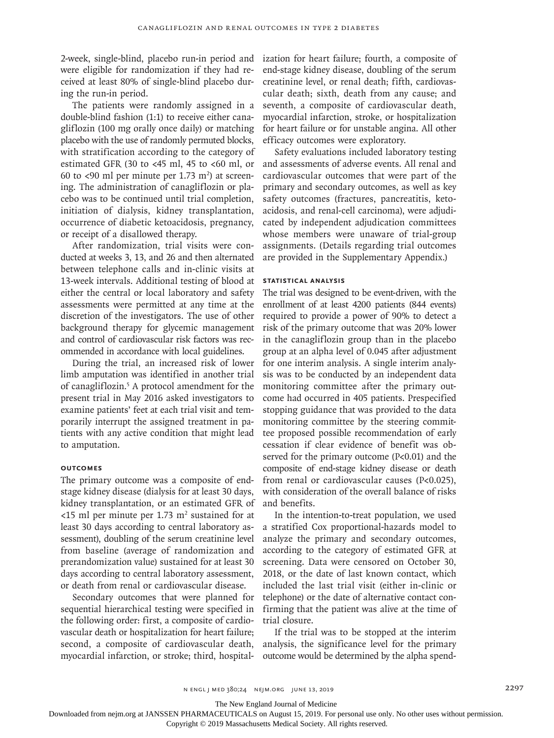2-week, single-blind, placebo run-in period and were eligible for randomization if they had received at least 80% of single-blind placebo during the run-in period.

The patients were randomly assigned in a double-blind fashion (1:1) to receive either canagliflozin (100 mg orally once daily) or matching placebo with the use of randomly permuted blocks, with stratification according to the category of estimated GFR (30 to <45 ml, 45 to <60 ml, or 60 to <90 ml per minute per 1.73  $m<sup>2</sup>$ ) at screening. The administration of canagliflozin or placebo was to be continued until trial completion, initiation of dialysis, kidney transplantation, occurrence of diabetic ketoacidosis, pregnancy, or receipt of a disallowed therapy.

After randomization, trial visits were conducted at weeks 3, 13, and 26 and then alternated between telephone calls and in-clinic visits at 13-week intervals. Additional testing of blood at either the central or local laboratory and safety assessments were permitted at any time at the discretion of the investigators. The use of other background therapy for glycemic management and control of cardiovascular risk factors was recommended in accordance with local guidelines.

During the trial, an increased risk of lower limb amputation was identified in another trial of canagliflozin.<sup>5</sup> A protocol amendment for the present trial in May 2016 asked investigators to examine patients' feet at each trial visit and temporarily interrupt the assigned treatment in patients with any active condition that might lead to amputation.

# **Outcomes**

The primary outcome was a composite of endstage kidney disease (dialysis for at least 30 days, kidney transplantation, or an estimated GFR of  $<$ 15 ml per minute per 1.73 m<sup>2</sup> sustained for at least 30 days according to central laboratory assessment), doubling of the serum creatinine level from baseline (average of randomization and prerandomization value) sustained for at least 30 days according to central laboratory assessment, or death from renal or cardiovascular disease.

Secondary outcomes that were planned for sequential hierarchical testing were specified in the following order: first, a composite of cardiovascular death or hospitalization for heart failure; second, a composite of cardiovascular death, myocardial infarction, or stroke; third, hospital-

ization for heart failure; fourth, a composite of end-stage kidney disease, doubling of the serum creatinine level, or renal death; fifth, cardiovascular death; sixth, death from any cause; and seventh, a composite of cardiovascular death, myocardial infarction, stroke, or hospitalization for heart failure or for unstable angina. All other efficacy outcomes were exploratory.

Safety evaluations included laboratory testing and assessments of adverse events. All renal and cardiovascular outcomes that were part of the primary and secondary outcomes, as well as key safety outcomes (fractures, pancreatitis, ketoacidosis, and renal-cell carcinoma), were adjudicated by independent adjudication committees whose members were unaware of trial-group assignments. (Details regarding trial outcomes are provided in the Supplementary Appendix.)

# **Statistical Analysis**

The trial was designed to be event-driven, with the enrollment of at least 4200 patients (844 events) required to provide a power of 90% to detect a risk of the primary outcome that was 20% lower in the canagliflozin group than in the placebo group at an alpha level of 0.045 after adjustment for one interim analysis. A single interim analysis was to be conducted by an independent data monitoring committee after the primary outcome had occurred in 405 patients. Prespecified stopping guidance that was provided to the data monitoring committee by the steering committee proposed possible recommendation of early cessation if clear evidence of benefit was observed for the primary outcome (P<0.01) and the composite of end-stage kidney disease or death from renal or cardiovascular causes (P<0.025), with consideration of the overall balance of risks and benefits.

In the intention-to-treat population, we used a stratified Cox proportional-hazards model to analyze the primary and secondary outcomes, according to the category of estimated GFR at screening. Data were censored on October 30, 2018, or the date of last known contact, which included the last trial visit (either in-clinic or telephone) or the date of alternative contact confirming that the patient was alive at the time of trial closure.

If the trial was to be stopped at the interim analysis, the significance level for the primary outcome would be determined by the alpha spend-

The New England Journal of Medicine

Downloaded from nejm.org at JANSSEN PHARMACEUTICALS on August 15, 2019. For personal use only. No other uses without permission.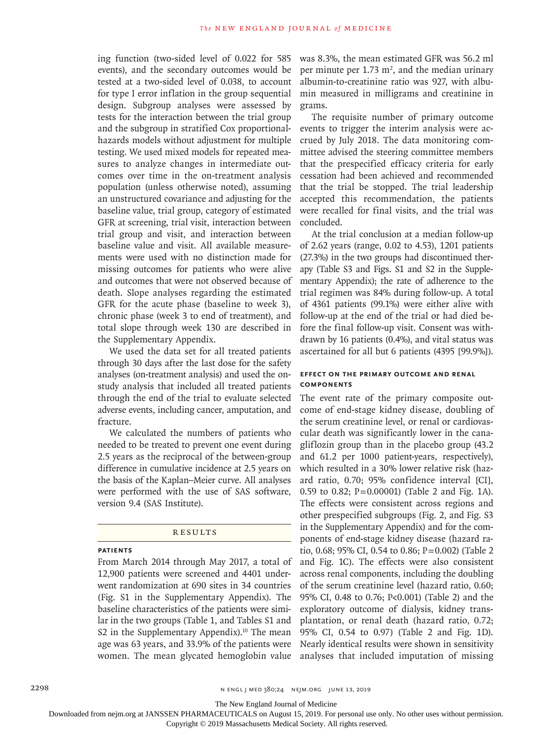ing function (two-sided level of 0.022 for 585 events), and the secondary outcomes would be tested at a two-sided level of 0.038, to account for type I error inflation in the group sequential design. Subgroup analyses were assessed by tests for the interaction between the trial group and the subgroup in stratified Cox proportionalhazards models without adjustment for multiple testing. We used mixed models for repeated measures to analyze changes in intermediate outcomes over time in the on-treatment analysis population (unless otherwise noted), assuming an unstructured covariance and adjusting for the baseline value, trial group, category of estimated GFR at screening, trial visit, interaction between trial group and visit, and interaction between baseline value and visit. All available measurements were used with no distinction made for missing outcomes for patients who were alive and outcomes that were not observed because of death. Slope analyses regarding the estimated GFR for the acute phase (baseline to week 3), chronic phase (week 3 to end of treatment), and total slope through week 130 are described in the Supplementary Appendix.

We used the data set for all treated patients through 30 days after the last dose for the safety analyses (on-treatment analysis) and used the onstudy analysis that included all treated patients through the end of the trial to evaluate selected adverse events, including cancer, amputation, and fracture.

We calculated the numbers of patients who needed to be treated to prevent one event during 2.5 years as the reciprocal of the between-group difference in cumulative incidence at 2.5 years on the basis of the Kaplan–Meier curve. All analyses were performed with the use of SAS software, version 9.4 (SAS Institute).

#### **RESULTS**

#### **Patients**

From March 2014 through May 2017, a total of 12,900 patients were screened and 4401 underwent randomization at 690 sites in 34 countries (Fig. S1 in the Supplementary Appendix). The baseline characteristics of the patients were similar in the two groups (Table 1, and Tables S1 and S2 in the Supplementary Appendix). $10$  The mean age was 63 years, and 33.9% of the patients were women. The mean glycated hemoglobin value

was 8.3%, the mean estimated GFR was 56.2 ml per minute per 1.73  $m^2$ , and the median urinary albumin-to-creatinine ratio was 927, with albumin measured in milligrams and creatinine in grams.

The requisite number of primary outcome events to trigger the interim analysis were accrued by July 2018. The data monitoring committee advised the steering committee members that the prespecified efficacy criteria for early cessation had been achieved and recommended that the trial be stopped. The trial leadership accepted this recommendation, the patients were recalled for final visits, and the trial was concluded.

At the trial conclusion at a median follow-up of 2.62 years (range, 0.02 to 4.53), 1201 patients (27.3%) in the two groups had discontinued therapy (Table S3 and Figs. S1 and S2 in the Supplementary Appendix); the rate of adherence to the trial regimen was 84% during follow-up. A total of 4361 patients (99.1%) were either alive with follow-up at the end of the trial or had died before the final follow-up visit. Consent was withdrawn by 16 patients (0.4%), and vital status was ascertained for all but 6 patients (4395 [99.9%]).

# **Effect on the Primary Outcome and Renal Components**

The event rate of the primary composite outcome of end-stage kidney disease, doubling of the serum creatinine level, or renal or cardiovascular death was significantly lower in the canagliflozin group than in the placebo group (43.2 and 61.2 per 1000 patient-years, respectively), which resulted in a 30% lower relative risk (hazard ratio, 0.70; 95% confidence interval [CI], 0.59 to 0.82; P=0.00001) (Table 2 and Fig. 1A). The effects were consistent across regions and other prespecified subgroups (Fig. 2, and Fig. S3 in the Supplementary Appendix) and for the components of end-stage kidney disease (hazard ratio, 0.68; 95% CI, 0.54 to 0.86; P=0.002) (Table 2 and Fig. 1C). The effects were also consistent across renal components, including the doubling of the serum creatinine level (hazard ratio, 0.60; 95% CI, 0.48 to 0.76; P<0.001) (Table 2) and the exploratory outcome of dialysis, kidney transplantation, or renal death (hazard ratio, 0.72; 95% CI, 0.54 to 0.97) (Table 2 and Fig. 1D). Nearly identical results were shown in sensitivity analyses that included imputation of missing

The New England Journal of Medicine

Downloaded from nejm.org at JANSSEN PHARMACEUTICALS on August 15, 2019. For personal use only. No other uses without permission.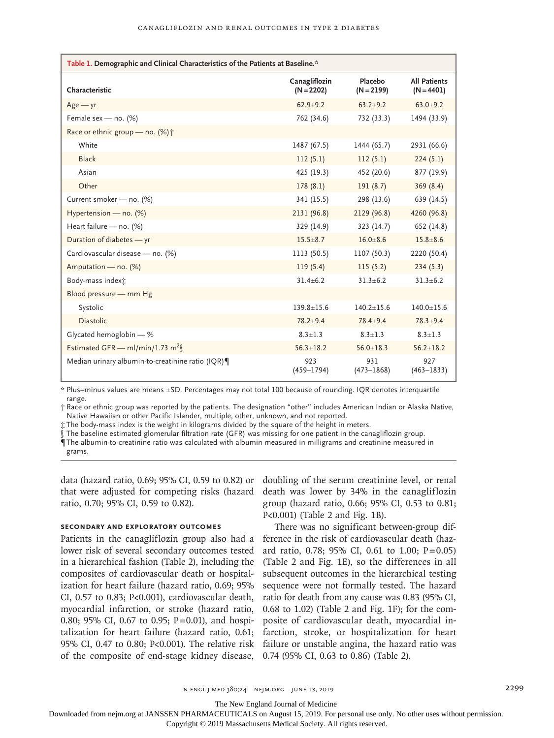| Table 1. Demographic and Clinical Characteristics of the Patients at Baseline.* |                               |                         |                                     |  |  |  |
|---------------------------------------------------------------------------------|-------------------------------|-------------------------|-------------------------------------|--|--|--|
| Characteristic                                                                  | Canagliflozin<br>$(N = 2202)$ | Placebo<br>$(N = 2199)$ | <b>All Patients</b><br>$(N = 4401)$ |  |  |  |
| $Age - yr$                                                                      | $62.9 + 9.2$                  | $63.2 + 9.2$            | $63.0 + 9.2$                        |  |  |  |
| Female sex - no. (%)                                                            | 762 (34.6)                    | 732 (33.3)              | 1494 (33.9)                         |  |  |  |
| Race or ethnic group - no. (%) +                                                |                               |                         |                                     |  |  |  |
| White                                                                           | 1487 (67.5)                   | 1444 (65.7)             | 2931 (66.6)                         |  |  |  |
| <b>Black</b>                                                                    | 112(5.1)                      | 112(5.1)                | 224(5.1)                            |  |  |  |
| Asian                                                                           | 425 (19.3)                    | 452 (20.6)              | 877 (19.9)                          |  |  |  |
| Other                                                                           | 178(8.1)                      | 191(8.7)                | 369(8.4)                            |  |  |  |
| Current smoker - no. (%)                                                        | 341 (15.5)                    | 298 (13.6)              | 639 (14.5)                          |  |  |  |
| Hypertension - no. (%)                                                          | 2131 (96.8)                   | 2129 (96.8)             | 4260 (96.8)                         |  |  |  |
| Heart failure - no. (%)                                                         | 329 (14.9)                    | 323 (14.7)              | 652 (14.8)                          |  |  |  |
| Duration of diabetes - yr                                                       | $15.5 \pm 8.7$                | $16.0 \pm 8.6$          | $15.8 \pm 8.6$                      |  |  |  |
| Cardiovascular disease - no. (%)                                                | 1113 (50.5)                   | 1107 (50.3)             | 2220 (50.4)                         |  |  |  |
| Amputation - no. (%)                                                            | 119(5.4)                      | 115(5.2)                | 234(5.3)                            |  |  |  |
| Body-mass indext                                                                | $31.4 + 6.2$                  | $31.3 + 6.2$            | $31.3 + 6.2$                        |  |  |  |
| Blood pressure - mm Hg                                                          |                               |                         |                                     |  |  |  |
| Systolic                                                                        | $139.8 \pm 15.6$              | $140.2 \pm 15.6$        | $140.0 \pm 15.6$                    |  |  |  |
| <b>Diastolic</b>                                                                | $78.2 + 9.4$                  | $78.4 + 9.4$            | $78.3 + 9.4$                        |  |  |  |
| Glycated hemoglobin - %                                                         | $8.3 + 1.3$                   | $8.3 + 1.3$             | $8.3 \pm 1.3$                       |  |  |  |
| Estimated GFR - ml/min/1.73 m <sup>2</sup>                                      | $56.3 + 18.2$                 | $56.0 \pm 18.3$         | $56.2 + 18.2$                       |  |  |  |
| Median urinary albumin-to-creatinine ratio (IQR)                                | 923<br>$(459 - 1794)$         | 931<br>$(473 - 1868)$   | 927<br>$(463 - 1833)$               |  |  |  |

\* Plus–minus values are means ±SD. Percentages may not total 100 because of rounding. IQR denotes interquartile range.

† Race or ethnic group was reported by the patients. The designation "other" includes American Indian or Alaska Native, Native Hawaiian or other Pacific Islander, multiple, other, unknown, and not reported.

‡ The body-mass index is the weight in kilograms divided by the square of the height in meters.

The baseline estimated glomerular filtration rate (GFR) was missing for one patient in the canagliflozin group.

¶ The albumin-to-creatinine ratio was calculated with albumin measured in milligrams and creatinine measured in grams.

data (hazard ratio, 0.69; 95% CI, 0.59 to 0.82) or that were adjusted for competing risks (hazard ratio, 0.70; 95% CI, 0.59 to 0.82).

# **Secondary and Exploratory Outcomes**

Patients in the canagliflozin group also had a lower risk of several secondary outcomes tested in a hierarchical fashion (Table 2), including the composites of cardiovascular death or hospitalization for heart failure (hazard ratio, 0.69; 95% CI, 0.57 to 0.83; P<0.001), cardiovascular death, myocardial infarction, or stroke (hazard ratio, 0.80; 95% CI, 0.67 to 0.95; P=0.01), and hospitalization for heart failure (hazard ratio, 0.61; 95% CI, 0.47 to 0.80; P<0.001). The relative risk of the composite of end-stage kidney disease,

doubling of the serum creatinine level, or renal death was lower by 34% in the canagliflozin group (hazard ratio, 0.66; 95% CI, 0.53 to 0.81; P<0.001) (Table 2 and Fig. 1B).

There was no significant between-group difference in the risk of cardiovascular death (hazard ratio, 0.78; 95% CI, 0.61 to 1.00;  $P=0.05$ ) (Table 2 and Fig. 1E), so the differences in all subsequent outcomes in the hierarchical testing sequence were not formally tested. The hazard ratio for death from any cause was 0.83 (95% CI, 0.68 to 1.02) (Table 2 and Fig. 1F); for the composite of cardiovascular death, myocardial infarction, stroke, or hospitalization for heart failure or unstable angina, the hazard ratio was 0.74 (95% CI, 0.63 to 0.86) (Table 2).

The New England Journal of Medicine

Downloaded from nejm.org at JANSSEN PHARMACEUTICALS on August 15, 2019. For personal use only. No other uses without permission.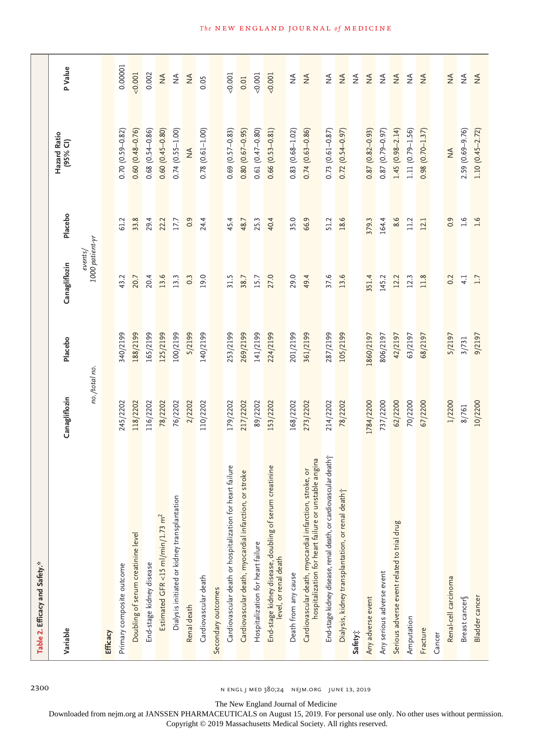| Table 2. Efficacy and Safety.*                                                                                  |               |           |                              |                  |                          |                                                                                                                                                                                                                                                                                                                                                                                                                                                |
|-----------------------------------------------------------------------------------------------------------------|---------------|-----------|------------------------------|------------------|--------------------------|------------------------------------------------------------------------------------------------------------------------------------------------------------------------------------------------------------------------------------------------------------------------------------------------------------------------------------------------------------------------------------------------------------------------------------------------|
| Variable                                                                                                        | Canagliflozin | Placebo   | Canagliflozin                | Placebo          | Hazard Ratio<br>(95% CI) | P Value                                                                                                                                                                                                                                                                                                                                                                                                                                        |
|                                                                                                                 | no./total no. |           | $1000$ patient-yr<br>events/ |                  |                          |                                                                                                                                                                                                                                                                                                                                                                                                                                                |
| Efficacy                                                                                                        |               |           |                              |                  |                          |                                                                                                                                                                                                                                                                                                                                                                                                                                                |
| Primary composite outcome                                                                                       | 245/2202      | 340/2199  | 43.2                         | 61.2             | $0.70(0.59 - 0.82)$      | 0.00001                                                                                                                                                                                                                                                                                                                                                                                                                                        |
| Doubling of serum creatinine level                                                                              | 118/2202      | 188/2199  | 20.7                         | 33.8             | $0.60(0.48 - 0.76)$      | 0.001                                                                                                                                                                                                                                                                                                                                                                                                                                          |
| End-stage kidney disease                                                                                        | 116/2202      | 165/2199  | 20.4                         | 29.4             | $0.68(0.54 - 0.86)$      | 0.002                                                                                                                                                                                                                                                                                                                                                                                                                                          |
| Estimated GFR <15 ml/min/1.73 $m^2$                                                                             | 78/2202       | 125/2199  | 13.6                         | 22.2             | $0.60(0.45 - 0.80)$      | $\stackrel{\triangle}{\geq}$                                                                                                                                                                                                                                                                                                                                                                                                                   |
| Dialysis initiated or kidney transplantation                                                                    | 76/2202       | 100/2199  | 13.3                         | $17.7\,$         | $0.74(0.55 - 1.00)$      | $\stackrel{\triangle}{\geq}$                                                                                                                                                                                                                                                                                                                                                                                                                   |
| Renal death                                                                                                     | 2/2202        | 5/2199    | 0.3                          | 0.9              | $\lessgtr$               | $\frac{4}{2}$                                                                                                                                                                                                                                                                                                                                                                                                                                  |
| Cardiovascular death                                                                                            | 110/2202      | 140/2199  | 19.0                         | 24.4             | $0.78$ $(0.61 - 1.00)$   | 0.05                                                                                                                                                                                                                                                                                                                                                                                                                                           |
| Secondary outcomes                                                                                              |               |           |                              |                  |                          |                                                                                                                                                                                                                                                                                                                                                                                                                                                |
| Cardiovascular death or hospitalization for heart failure                                                       | 179/2202      | 253/2199  | 31.5                         | 45.4             | $0.69(0.57 - 0.83)$      | 0.001                                                                                                                                                                                                                                                                                                                                                                                                                                          |
| Cardiovascular death, myocardial infarction, or stroke                                                          | 217/2202      | 269/2199  | 38.7                         | 48.7             | $0.80(0.67-0.95)$        | 0.01                                                                                                                                                                                                                                                                                                                                                                                                                                           |
| Hospitalization for heart failure                                                                               | 89/2202       | 141/2199  | 15.7                         | 25.3             | $0.61(0.47 - 0.80)$      | 0.001                                                                                                                                                                                                                                                                                                                                                                                                                                          |
| End-stage kidney disease, doubling of serum creatinine<br>level, or renal death                                 | 153/2202      | 224/2199  | 27.0                         | 40.4             | $0.66(0.53 - 0.81)$      | 0.001                                                                                                                                                                                                                                                                                                                                                                                                                                          |
| Death from any cause                                                                                            | 168/2202      | 201/2199  | 29.0                         | 35.0             | $0.83$ $(0.68 - 1.02)$   | $\stackrel{\triangle}{\geq}$                                                                                                                                                                                                                                                                                                                                                                                                                   |
| hospitalization for heart failure or unstable angina<br>Cardiovascular death, myocardial infarction, stroke, or | 273/2202      | 361/2199  | 49.4                         | 66.9             | $0.74(0.63 - 0.86)$      | $\stackrel{\triangle}{\geq}$                                                                                                                                                                                                                                                                                                                                                                                                                   |
| End-stage kidney disease, renal death, or cardiovascular death f                                                | 214/2202      | 287/2199  | 37.6                         | 51.2             | $0.73$ $(0.61 - 0.87)$   | $\stackrel{\triangle}{\geq}$                                                                                                                                                                                                                                                                                                                                                                                                                   |
| Dialysis, kidney transplantation, or renal death†                                                               | 78/2202       | 105/2199  | 13.6                         | 18.6             | $0.72(0.54 - 0.97)$      | $\stackrel{\triangle}{\geq}$                                                                                                                                                                                                                                                                                                                                                                                                                   |
| Safety:                                                                                                         |               |           |                              |                  |                          | $\frac{4}{2}$                                                                                                                                                                                                                                                                                                                                                                                                                                  |
| Any adverse event                                                                                               | 1784/2200     | 1860/2197 | 351.4                        | 379.3            | $0.87(0.82 - 0.93)$      | $\stackrel{\triangle}{\geq}$                                                                                                                                                                                                                                                                                                                                                                                                                   |
| Any serious adverse event                                                                                       | 737/2200      | 806/2197  | 145.2                        | 164.4            | $0.87(0.79 - 0.97)$      | $\mathop{\mathrel{\mathop{\scriptstyle\mathop{\scriptstyle\mathop{\scriptstyle\mathop{\scriptstyle\mathop{\scriptstyle\mathop{\scriptstyle\mathop{\scriptstyle\mathop{\scriptstyle\mathop{\scriptstyle\mathop{\scriptstyle\mathop{\scriptstyle\mathop{\scriptstyle\mathop{\scriptstyle\mathop{\scriptstyle\mathop{\scriptstyle\mathop{\scriptstyle\mathop{\scriptstyle\mathop{\scriptstyle\mathop{\scriptstyle\mathop{\cal E}}}}}}}}}}}\math>$ |
| Serious adverse event related to trial drug                                                                     | 62/2200       | 42/2197   | 12.2                         | 8.6              | $1.45(0.98 - 2.14)$      | $\stackrel{\triangle}{\geq}$                                                                                                                                                                                                                                                                                                                                                                                                                   |
| Amputation                                                                                                      | 70/2200       | 63/2197   | 12.3                         | 11.2             | 1.11 (0.79-1.56)         | $\stackrel{\triangle}{\geq}$                                                                                                                                                                                                                                                                                                                                                                                                                   |
| Fracture                                                                                                        | 67/2200       | 68/2197   | 11.8                         | 12.1             | $0.98(0.70 - 1.37)$      | $\frac{4}{2}$                                                                                                                                                                                                                                                                                                                                                                                                                                  |
| Cancer                                                                                                          |               |           |                              |                  |                          |                                                                                                                                                                                                                                                                                                                                                                                                                                                |
| Renal-cell carcinoma                                                                                            | 1/2200        | 5/2197    | 0.2                          | 0.9              | $\frac{4}{2}$            | $\stackrel{\triangle}{\geq}$                                                                                                                                                                                                                                                                                                                                                                                                                   |
| Breast cancer                                                                                                   | 8/761         | 3/731     | 4.1                          | $\overline{1.6}$ | 2.59 (0.69-9.76)         | $\stackrel{\triangle}{\geq}$                                                                                                                                                                                                                                                                                                                                                                                                                   |
| Bladder cancer                                                                                                  | 10/2200       | 9/2197    | 1.7                          | 1.6              | $1.10(0.45 - 2.72)$      | $\stackrel{\triangle}{\geq}$                                                                                                                                                                                                                                                                                                                                                                                                                   |

2300 n engl j med 380;24 nejm.org June 13, 2019

The New England Journal of Medicine

Downloaded from nejm.org at JANSSEN PHARMACEUTICALS on August 15, 2019. For personal use only. No other uses without permission.

Copyright © 2019 Massachusetts Medical Society. All rights reserved.

**The NEW ENGLAND JOURNAL of MEDICINE**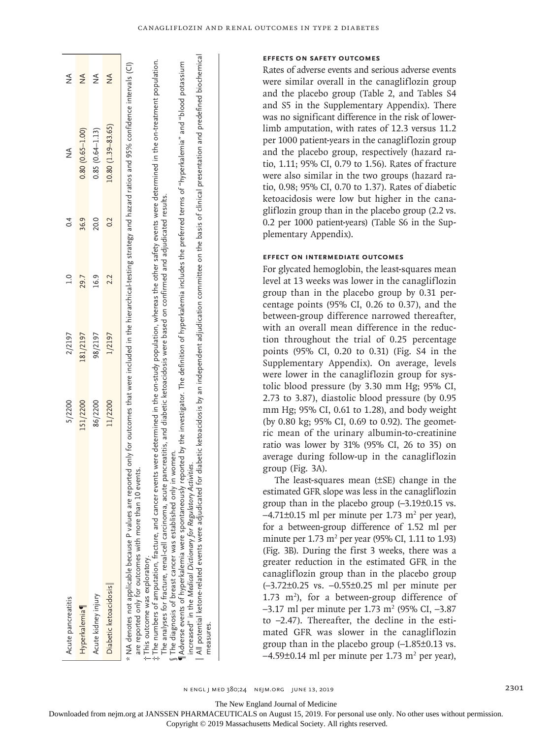#### **Effects on Safety Outcomes**

Rates of adverse events and serious adverse events were similar overall in the canagliflozin group and the placebo group (Table 2, and Tables S4 and S5 in the Supplementary Appendix). There was no significant difference in the risk of lowerlimb amputation, with rates of 12.3 versus 11.2 per 1000 patient-years in the canagliflozin group and the placebo group, respectively (hazard ratio, 1.11; 95% CI, 0.79 to 1.56). Rates of fracture were also similar in the two groups (hazard ratio, 0.98; 95% CI, 0.70 to 1.37). Rates of diabetic ketoacidosis were low but higher in the canagliflozin group than in the placebo group (2.2 vs. 0.2 per 1000 patient-years) (Table S6 in the Supplementary Appendix).

# **Effect on Intermediate Outcomes**

For glycated hemoglobin, the least-squares mean level at 13 weeks was lower in the canagliflozin group than in the placebo group by 0.31 percentage points (95% CI, 0.26 to 0.37), and the between-group difference narrowed thereafter, with an overall mean difference in the reduction throughout the trial of 0.25 percentage points (95% CI, 0.20 to 0.31) (Fig. S4 in the Supplementary Appendix). On average, levels were lower in the canagliflozin group for systolic blood pressure (by 3.30 mm Hg; 95% CI, 2.73 to 3.87), diastolic blood pressure (by 0.95 mm Hg; 95% CI, 0.61 to 1.28), and body weight (by 0.80 kg; 95% CI, 0.69 to 0.92). The geometric mean of the urinary albumin-to-creatinine ratio was lower by 31% (95% CI, 26 to 35) on average during follow-up in the canagliflozin group (Fig. 3A).

The least-squares mean (±SE) change in the estimated GFR slope was less in the canagliflozin group than in the placebo group (–3.19±0.15 vs.  $-4.71\pm0.15$  ml per minute per 1.73 m<sup>2</sup> per year), for a between-group difference of 1.52 ml per minute per  $1.73 \text{ m}^2$  per year (95% CI, 1.11 to 1.93) (Fig. 3B). During the first 3 weeks, there was a greater reduction in the estimated GFR in the canagliflozin group than in the placebo group (–3.72±0.25 vs. –0.55±0.25 ml per minute per  $1.73$  m<sup>2</sup>), for a between-group difference of  $-3.17$  ml per minute per 1.73 m<sup>2</sup> (95% CI,  $-3.87$ ) to –2.47). Thereafter, the decline in the estimated GFR was slower in the canagliflozin group than in the placebo group (–1.85±0.13 vs.  $-4.59\pm0.14$  ml per minute per 1.73 m<sup>2</sup> per year),

n engl j med 380;24 nejm.org June 13, 2019 2301

measures.

measures.

The New England Journal of Medicine

Downloaded from nejm.org at JANSSEN PHARMACEUTICALS on August 15, 2019. For personal use only. No other uses without permission.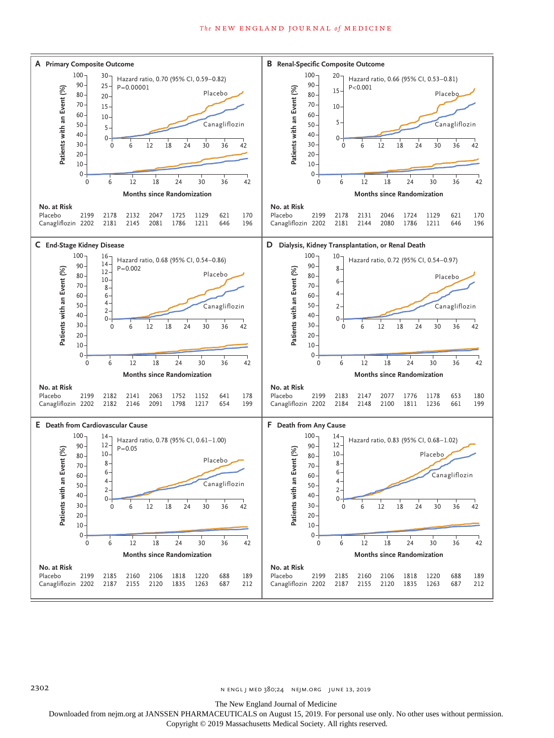# *The* NEW ENGLAND JOURNAL *of* MEDICINE



n engl j med 380;24 nejm.org June 13, 2019

The New England Journal of Medicine

Downloaded from nejm.org at JANSSEN PHARMACEUTICALS on August 15, 2019. For personal use only. No other uses without permission.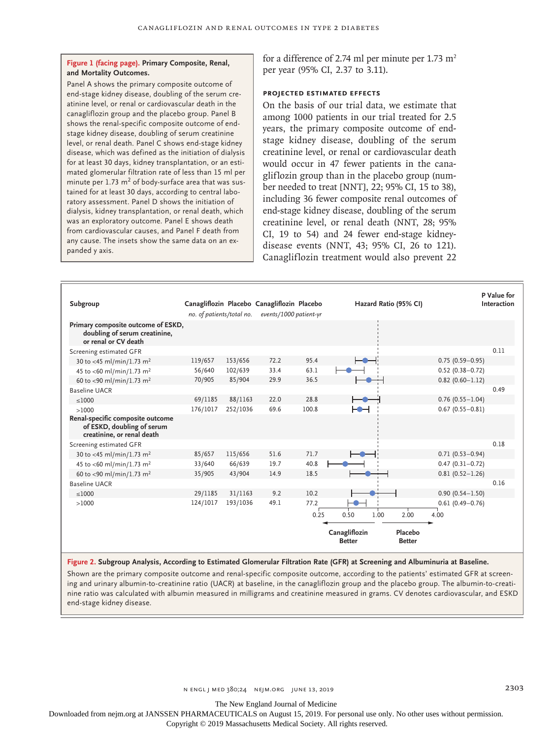# **Figure 1 (facing page). Primary Composite, Renal, and Mortality Outcomes.**

Panel A shows the primary composite outcome of end-stage kidney disease, doubling of the serum creatinine level, or renal or cardiovascular death in the canagliflozin group and the placebo group. Panel B shows the renal-specific composite outcome of endstage kidney disease, doubling of serum creatinine level, or renal death. Panel C shows end-stage kidney disease, which was defined as the initiation of dialysis for at least 30 days, kidney transplantation, or an estimated glomerular filtration rate of less than 15 ml per minute per  $1.73 \text{ m}^2$  of body-surface area that was sustained for at least 30 days, according to central laboratory assessment. Panel D shows the initiation of dialysis, kidney transplantation, or renal death, which was an exploratory outcome. Panel E shows death from cardiovascular causes, and Panel F death from any cause. The insets show the same data on an expanded y axis.

for a difference of 2.74 ml per minute per 1.73  $m<sup>2</sup>$ per year (95% CI, 2.37 to 3.11).

# **Projected Estimated Effects**

On the basis of our trial data, we estimate that among 1000 patients in our trial treated for 2.5 years, the primary composite outcome of endstage kidney disease, doubling of the serum creatinine level, or renal or cardiovascular death would occur in 47 fewer patients in the canagliflozin group than in the placebo group (number needed to treat [NNT], 22; 95% CI, 15 to 38), including 36 fewer composite renal outcomes of end-stage kidney disease, doubling of the serum creatinine level, or renal death (NNT, 28; 95% CI, 19 to 54) and 24 fewer end-stage kidneydisease events (NNT, 43; 95% CI, 26 to 121). Canagliflozin treatment would also prevent 22

| Subgroup                                                                                     | no. of patients/total no. |          | Canagliflozin Placebo Canagliflozin Placebo<br>events/1000 patient-yr |       | Hazard Ratio (95% CI)          |                          |                     | P Value for<br>Interaction |
|----------------------------------------------------------------------------------------------|---------------------------|----------|-----------------------------------------------------------------------|-------|--------------------------------|--------------------------|---------------------|----------------------------|
| Primary composite outcome of ESKD,<br>doubling of serum creatinine,<br>or renal or CV death  |                           |          |                                                                       |       |                                |                          |                     |                            |
| Screening estimated GFR                                                                      |                           |          |                                                                       |       |                                |                          |                     | 0.11                       |
| 30 to <45 ml/min/1.73 m <sup>2</sup>                                                         | 119/657                   | 153/656  | 72.2                                                                  | 95.4  |                                |                          | $0.75(0.59 - 0.95)$ |                            |
| 45 to <60 ml/min/1.73 m <sup>2</sup>                                                         | 56/640                    | 102/639  | 33.4                                                                  | 63.1  |                                |                          | $0.52(0.38 - 0.72)$ |                            |
| 60 to <90 ml/min/1.73 m <sup>2</sup>                                                         | 70/905                    | 85/904   | 29.9                                                                  | 36.5  |                                |                          | $0.82$ (0.60-1.12)  |                            |
| Baseline UACR                                                                                |                           |          |                                                                       |       |                                |                          |                     | 0.49                       |
| < 1000                                                                                       | 69/1185                   | 88/1163  | 22.0                                                                  | 28.8  |                                |                          | $0.76(0.55 - 1.04)$ |                            |
| >1000                                                                                        | 176/1017                  | 252/1036 | 69.6                                                                  | 100.8 | ⊢⊕⊣                            |                          | $0.67(0.55 - 0.81)$ |                            |
| Renal-specific composite outcome<br>of ESKD, doubling of serum<br>creatinine, or renal death |                           |          |                                                                       |       |                                |                          |                     |                            |
| Screening estimated GFR                                                                      |                           |          |                                                                       |       |                                |                          |                     | 0.18                       |
| 30 to <45 ml/min/1.73 m <sup>2</sup>                                                         | 85/657                    | 115/656  | 51.6                                                                  | 71.7  |                                |                          | $0.71(0.53 - 0.94)$ |                            |
| 45 to <60 ml/min/1.73 m <sup>2</sup>                                                         | 33/640                    | 66/639   | 19.7                                                                  | 40.8  |                                |                          | $0.47(0.31 - 0.72)$ |                            |
| 60 to <90 ml/min/1.73 m <sup>2</sup>                                                         | 35/905                    | 43/904   | 14.9                                                                  | 18.5  |                                |                          | $0.81(0.52 - 1.26)$ |                            |
| <b>Baseline UACR</b>                                                                         |                           |          |                                                                       |       |                                |                          |                     | 0.16                       |
| < 1000                                                                                       | 29/1185                   | 31/1163  | 9.2                                                                   | 10.2  |                                |                          | $0.90(0.54 - 1.50)$ |                            |
| >1000                                                                                        | 124/1017                  | 193/1036 | 49.1                                                                  | 77.2  |                                |                          | $0.61(0.49 - 0.76)$ |                            |
|                                                                                              |                           |          |                                                                       | 0.25  | 0.50<br>1.00                   | 2.00                     | 4.00                |                            |
|                                                                                              |                           |          |                                                                       |       |                                |                          |                     |                            |
|                                                                                              |                           |          |                                                                       |       | Canagliflozin<br><b>Better</b> | Placebo<br><b>Better</b> |                     |                            |

**Figure 2. Subgroup Analysis, According to Estimated Glomerular Filtration Rate (GFR) at Screening and Albuminuria at Baseline.**

Shown are the primary composite outcome and renal-specific composite outcome, according to the patients' estimated GFR at screening and urinary albumin-to-creatinine ratio (UACR) at baseline, in the canagliflozin group and the placebo group. The albumin-to-creatinine ratio was calculated with albumin measured in milligrams and creatinine measured in grams. CV denotes cardiovascular, and ESKD end-stage kidney disease.

The New England Journal of Medicine

Downloaded from nejm.org at JANSSEN PHARMACEUTICALS on August 15, 2019. For personal use only. No other uses without permission.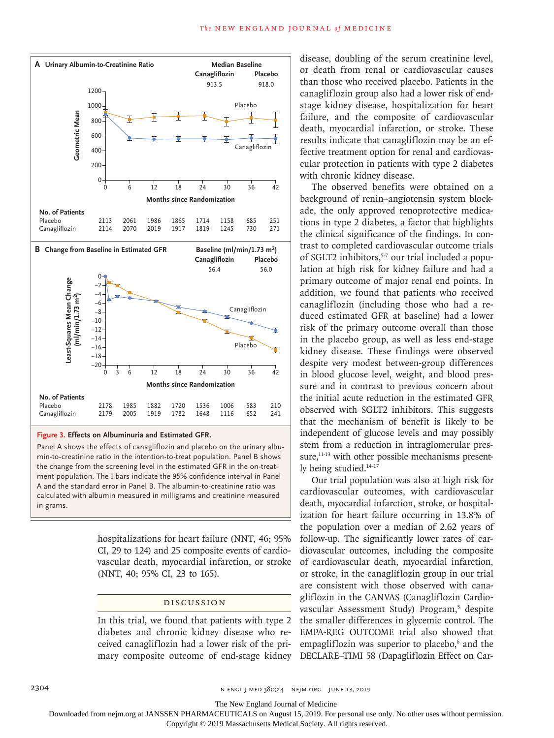

**Figure 3. Effects on Albuminuria and Estimated GFR.**

Panel A shows the effects of canagliflozin and placebo on the urinary albumin-to-creatinine ratio in the intention-to-treat population. Panel B shows the change from the screening level in the estimated GFR in the on-treatment population. The I bars indicate the 95% confidence interval in Panel A and the standard error in Panel B. The albumin-to-creatinine ratio was calculated with albumin measured in milligrams and creatinine measured in grams.

> hospitalizations for heart failure (NNT, 46; 95% CI, 29 to 124) and 25 composite events of cardiovascular death, myocardial infarction, or stroke (NNT, 40; 95% CI, 23 to 165).

# Discussion

In this trial, we found that patients with type 2 diabetes and chronic kidney disease who received canagliflozin had a lower risk of the primary composite outcome of end-stage kidney disease, doubling of the serum creatinine level, or death from renal or cardiovascular causes than those who received placebo. Patients in the canagliflozin group also had a lower risk of endstage kidney disease, hospitalization for heart failure, and the composite of cardiovascular death, myocardial infarction, or stroke. These results indicate that canagliflozin may be an effective treatment option for renal and cardiovascular protection in patients with type 2 diabetes with chronic kidney disease.

The observed benefits were obtained on a background of renin–angiotensin system blockade, the only approved renoprotective medications in type 2 diabetes, a factor that highlights the clinical significance of the findings. In contrast to completed cardiovascular outcome trials of SGLT2 inhibitors,<sup>5-7</sup> our trial included a population at high risk for kidney failure and had a primary outcome of major renal end points. In addition, we found that patients who received canagliflozin (including those who had a reduced estimated GFR at baseline) had a lower risk of the primary outcome overall than those in the placebo group, as well as less end-stage kidney disease. These findings were observed despite very modest between-group differences in blood glucose level, weight, and blood pressure and in contrast to previous concern about the initial acute reduction in the estimated GFR observed with SGLT2 inhibitors. This suggests that the mechanism of benefit is likely to be independent of glucose levels and may possibly stem from a reduction in intraglomerular pressure,<sup>11-13</sup> with other possible mechanisms presently being studied.<sup>14-17</sup>

Our trial population was also at high risk for cardiovascular outcomes, with cardiovascular death, myocardial infarction, stroke, or hospitalization for heart failure occurring in 13.8% of the population over a median of 2.62 years of follow-up. The significantly lower rates of cardiovascular outcomes, including the composite of cardiovascular death, myocardial infarction, or stroke, in the canagliflozin group in our trial are consistent with those observed with canagliflozin in the CANVAS (Canagliflozin Cardiovascular Assessment Study) Program,<sup>5</sup> despite the smaller differences in glycemic control. The EMPA-REG OUTCOME trial also showed that empagliflozin was superior to placebo,<sup>6</sup> and the DECLARE–TIMI 58 (Dapagliflozin Effect on Car-

2304 **NET SEPTEMBER 2019** NET MED 380;24 NEIM.ORG JUNE 13, 2019

The New England Journal of Medicine

Downloaded from nejm.org at JANSSEN PHARMACEUTICALS on August 15, 2019. For personal use only. No other uses without permission.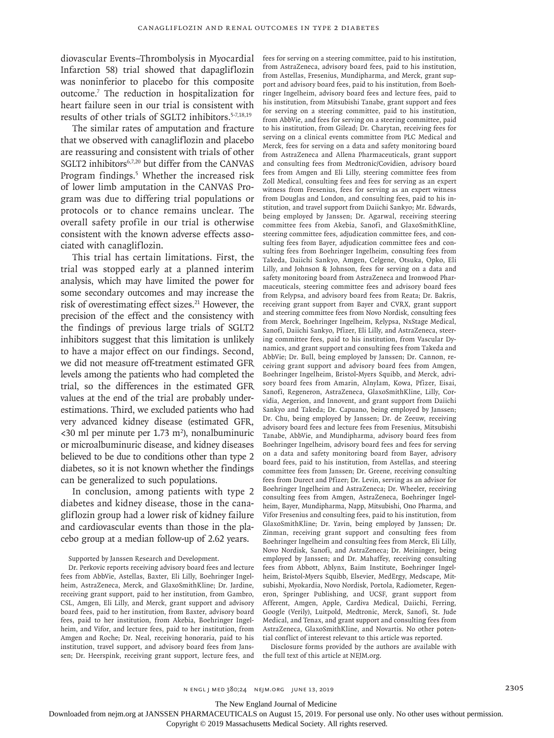diovascular Events–Thrombolysis in Myocardial Infarction 58) trial showed that dapagliflozin was noninferior to placebo for this composite outcome.7 The reduction in hospitalization for heart failure seen in our trial is consistent with results of other trials of SGLT2 inhibitors.5-7,18,19

The similar rates of amputation and fracture that we observed with canagliflozin and placebo are reassuring and consistent with trials of other SGLT2 inhibitors<sup>6,7,20</sup> but differ from the CANVAS Program findings.<sup>5</sup> Whether the increased risk of lower limb amputation in the CANVAS Program was due to differing trial populations or protocols or to chance remains unclear. The overall safety profile in our trial is otherwise consistent with the known adverse effects associated with canagliflozin.

This trial has certain limitations. First, the trial was stopped early at a planned interim analysis, which may have limited the power for some secondary outcomes and may increase the risk of overestimating effect sizes.<sup>21</sup> However, the precision of the effect and the consistency with the findings of previous large trials of SGLT2 inhibitors suggest that this limitation is unlikely to have a major effect on our findings. Second, we did not measure off-treatment estimated GFR levels among the patients who had completed the trial, so the differences in the estimated GFR values at the end of the trial are probably underestimations. Third, we excluded patients who had very advanced kidney disease (estimated GFR,  $<30$  ml per minute per 1.73 m<sup>2</sup>), nonalbuminuric or microalbuminuric disease, and kidney diseases believed to be due to conditions other than type 2 diabetes, so it is not known whether the findings can be generalized to such populations.

In conclusion, among patients with type 2 diabetes and kidney disease, those in the canagliflozin group had a lower risk of kidney failure and cardiovascular events than those in the placebo group at a median follow-up of 2.62 years.

Supported by Janssen Research and Development.

Dr. Perkovic reports receiving advisory board fees and lecture fees from AbbVie, Astellas, Baxter, Eli Lilly, Boehringer Ingelheim, AstraZeneca, Merck, and GlaxoSmithKline; Dr. Jardine, receiving grant support, paid to her institution, from Gambro, CSL, Amgen, Eli Lilly, and Merck, grant support and advisory board fees, paid to her institution, from Baxter, advisory board fees, paid to her institution, from Akebia, Boehringer Ingelheim, and Vifor, and lecture fees, paid to her institution, from Amgen and Roche; Dr. Neal, receiving honoraria, paid to his institution, travel support, and advisory board fees from Janssen; Dr. Heerspink, receiving grant support, lecture fees, and fees for serving on a steering committee, paid to his institution, from AstraZeneca, advisory board fees, paid to his institution, from Astellas, Fresenius, Mundipharma, and Merck, grant support and advisory board fees, paid to his institution, from Boehringer Ingelheim, advisory board fees and lecture fees, paid to his institution, from Mitsubishi Tanabe, grant support and fees for serving on a steering committee, paid to his institution, from AbbVie, and fees for serving on a steering committee, paid to his institution, from Gilead; Dr. Charytan, receiving fees for serving on a clinical events committee from PLC Medical and Merck, fees for serving on a data and safety monitoring board from AstraZeneca and Allena Pharmaceuticals, grant support and consulting fees from Medtronic/Covidien, advisory board fees from Amgen and Eli Lilly, steering committee fees from Zoll Medical, consulting fees and fees for serving as an expert witness from Fresenius, fees for serving as an expert witness from Douglas and London, and consulting fees, paid to his institution, and travel support from Daiichi Sankyo; Mr. Edwards, being employed by Janssen; Dr. Agarwal, receiving steering committee fees from Akebia, Sanofi, and GlaxoSmithKline, steering committee fees, adjudication committee fees, and consulting fees from Bayer, adjudication committee fees and consulting fees from Boehringer Ingelheim, consulting fees from Takeda, Daiichi Sankyo, Amgen, Celgene, Otsuka, Opko, Eli Lilly, and Johnson & Johnson, fees for serving on a data and safety monitoring board from AstraZeneca and Ironwood Pharmaceuticals, steering committee fees and advisory board fees from Relypsa, and advisory board fees from Reata; Dr. Bakris, receiving grant support from Bayer and CVRX, grant support and steering committee fees from Novo Nordisk, consulting fees from Merck, Boehringer Ingelheim, Relypsa, NxStage Medical, Sanofi, Daiichi Sankyo, Pfizer, Eli Lilly, and AstraZeneca, steering committee fees, paid to his institution, from Vascular Dynamics, and grant support and consulting fees from Takeda and AbbVie; Dr. Bull, being employed by Janssen; Dr. Cannon, receiving grant support and advisory board fees from Amgen, Boehringer Ingelheim, Bristol-Myers Squibb, and Merck, advisory board fees from Amarin, Alnylam, Kowa, Pfizer, Eisai, Sanofi, Regeneron, AstraZeneca, GlaxoSmithKline, Lilly, Corvidia, Aegerion, and Innovent, and grant support from Daiichi Sankyo and Takeda; Dr. Capuano, being employed by Janssen; Dr. Chu, being employed by Janssen; Dr. de Zeeuw, receiving advisory board fees and lecture fees from Fresenius, Mitsubishi Tanabe, AbbVie, and Mundipharma, advisory board fees from Boehringer Ingelheim, advisory board fees and fees for serving on a data and safety monitoring board from Bayer, advisory board fees, paid to his institution, from Astellas, and steering committee fees from Janssen; Dr. Greene, receiving consulting fees from Durect and Pfizer; Dr. Levin, serving as an advisor for Boehringer Ingelheim and AstraZeneca; Dr. Wheeler, receiving consulting fees from Amgen, AstraZeneca, Boehringer Ingelheim, Bayer, Mundipharma, Napp, Mitsubishi, Ono Pharma, and Vifor Fresenius and consulting fees, paid to his institution, from GlaxoSmithKline; Dr. Yavin, being employed by Janssen; Dr. Zinman, receiving grant support and consulting fees from Boehringer Ingelheim and consulting fees from Merck, Eli Lilly, Novo Nordisk, Sanofi, and AstraZeneca; Dr. Meininger, being employed by Janssen; and Dr. Mahaffey, receiving consulting fees from Abbott, Ablynx, Baim Institute, Boehringer Ingelheim, Bristol-Myers Squibb, Elsevier, MedErgy, Medscape, Mitsubishi, Myokardia, Novo Nordisk, Portola, Radiometer, Regeneron, Springer Publishing, and UCSF, grant support from Afferent, Amgen, Apple, Cardiva Medical, Daiichi, Ferring, Google (Verily), Luitpold, Medtronic, Merck, Sanofi, St. Jude Medical, and Tenax, and grant support and consulting fees from AstraZeneca, GlaxoSmithKline, and Novartis. No other potential conflict of interest relevant to this article was reported.

Disclosure forms provided by the authors are available with the full text of this article at NEJM.org.

The New England Journal of Medicine

Downloaded from nejm.org at JANSSEN PHARMACEUTICALS on August 15, 2019. For personal use only. No other uses without permission.